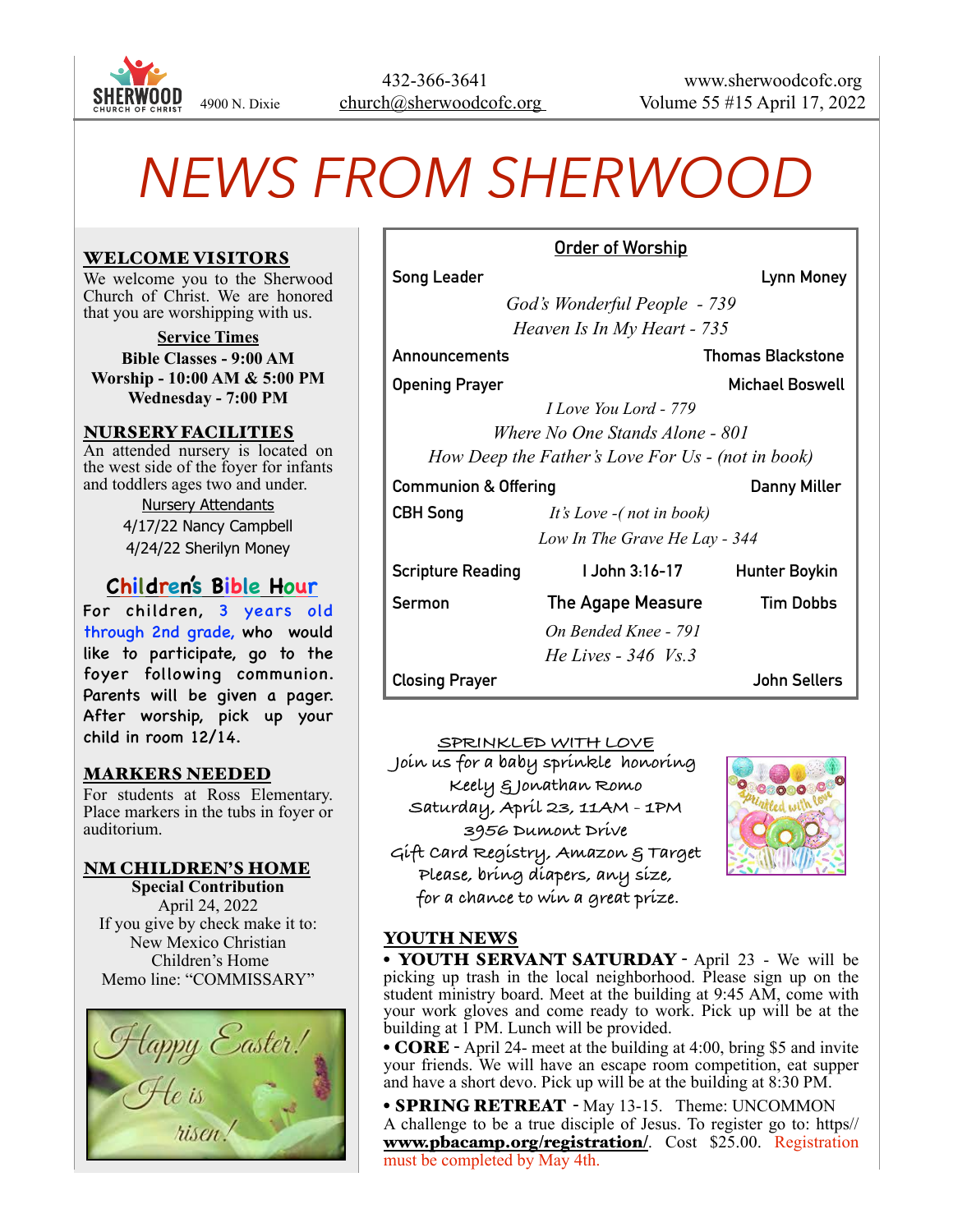

# *NEWS FROM SHERWOOD*

#### WELCOME VISITORS

We welcome you to the Sherwood Church of Christ. We are honored that you are worshipping with us.

**Service Times Bible Classes - 9:00 AM Worship - 10:00 AM & 5:00 PM Wednesday - 7:00 PM**

#### NURSERY FACILITIES

An attended nursery is located on the west side of the foyer for infants and toddlers ages two and under.

> Nursery Attendants 4/17/22 Nancy Campbell 4/24/22 Sherilyn Money

# **Children's Bible Hour**

For children, 3 years old through 2nd grade, who would like to participate, go to the foyer following communion. Parents will be given a pager. After worship, pick up your child in room 12/14.

# MARKERS NEEDED

For students at Ross Elementary. Place markers in the tubs in foyer or auditorium.

#### NM CHILDREN'S HOME

**Special Contribution** April 24, 2022 If you give by check make it to: New Mexico Christian Children's Home Memo line: "COMMISSARY"



| Song Leader           | Lynn Money                   |
|-----------------------|------------------------------|
|                       | God's Wonderful People - 739 |
|                       | Heaven Is In My Heart - 735  |
| Announcements         | <b>Thomas Blackstone</b>     |
| <b>Opening Prayer</b> | Michael Boswell              |
|                       |                              |

**Order of Worship**

*I Love You Lord - 779 Where No One Stands Alone - 801 How Deep the Father's Love For Us - (not in book)*

#### **Communion & Offering Communion & Offering Communion A**

**CBH Song** *It's Love -( not in book) Low In The Grave He Lay - 344*

| <b>Scripture Reading</b> | UJohn 3:16-17            | <b>Hunter Boykin</b> |
|--------------------------|--------------------------|----------------------|
| <b>Sermon</b>            | <b>The Agape Measure</b> | Tim Dobbs            |
|                          | On Bended Knee - 791     |                      |
|                          | He Lives - $346$ Vs.3    |                      |
| <b>Closing Prayer</b>    |                          | John Sellers         |

**SPRINKLED WITH LOVE Join us for a baby sprinkle honoring Keely & Jonathan Romo Saturday, April 23, 11AM - 1PM 3956 Dumont Drive Gift Card Registry, Amazon & Target Please, bring diapers, any size, for a chance to win a great prize.**



# YOUTH NEWS

• YOUTH SERVANT SATURDAY - April 23 - We will be picking up trash in the local neighborhood. Please sign up on the student ministry board. Meet at the building at 9:45 AM, come with your work gloves and come ready to work. Pick up will be at the building at  $\overline{1}$  PM. Lunch will be provided.

• **CORE** - April 24- meet at the building at 4:00, bring \$5 and invite your friends. We will have an escape room competition, eat supper and have a short devo. Pick up will be at the building at  $8:30 \text{ PM}$ .

• **SPRING RETREAT** - May 13-15. Theme: UNCOMMON A challenge to be a true disciple of Jesus. To register go to: https// [www.pbacamp.org/registration/](http://www.pbacamp.org/registration/). Cost \$25.00. Registration must be completed by May 4th.